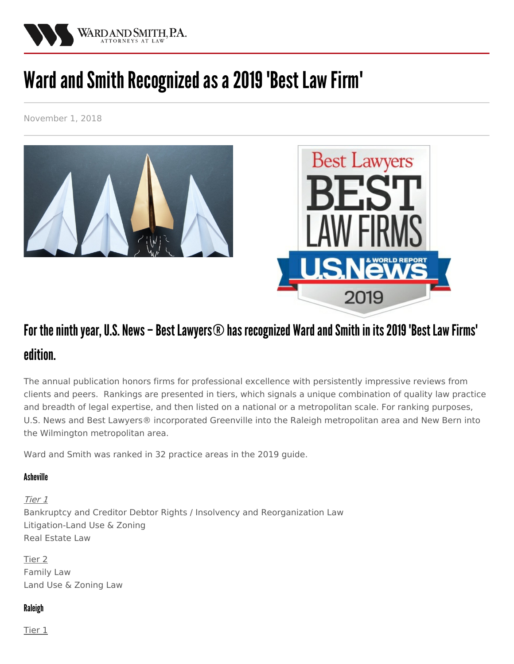

# Ward and Smith Recognized as a 2019 'Best Law Firm'

November 1, 2018



# For the ninth year, U.S. News – Best Lawyers  $\odot$  has recognized Ward and Smith in its 2019 'Best Law Firms' edition.

The annual publication honors firms for professional excellence with persistently impressive reviews from clients and peers. Rankings are presented in tiers, which signals a unique combination of quality law practice and breadth of legal expertise, and then listed on a national or a metropolitan scale. For ranking purposes, U.S. News and Best Lawyers® incorporated Greenville into the Raleigh metropolitan area and New Bern into the Wilmington metropolitan area.

Ward and Smith was ranked in 32 practice areas in the 2019 guide.

## Asheville

Tier 1 Bankruptcy and Creditor Debtor Rights / Insolvency and [Reorganization](/practice-areas/creditors-rights) Law [Litigation-Land](/practice-areas/zoning-and-land-use-planning) Use & Zoning Real [Estate](/practice-areas/real-estate-development) Law

Tier 2 [Family](/practice-areas/family-law) Law Land Use & [Zoning](/practice-areas/zoning-and-land-use-planning) Law

## Raleigh

Tier 1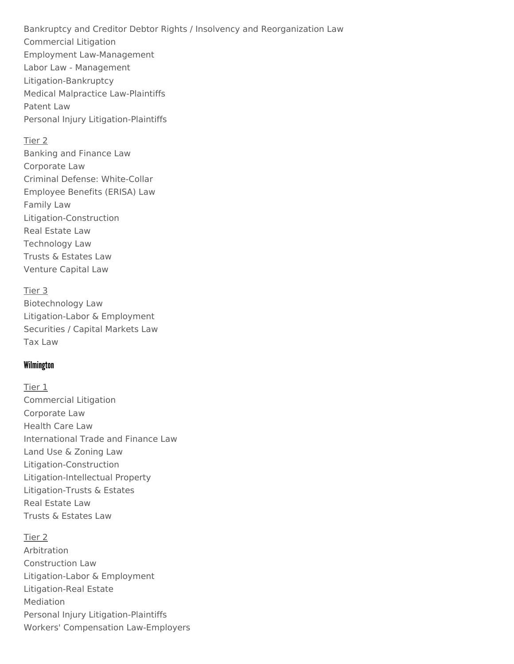Bankruptcy and Creditor Debtor Rights / Insolvency and [Reorganization](/practice-areas/creditors-rights) Law [Commercial](/practice-areas/litigation) Litigation Employment [Law-Management](/practice-areas/labor-and-employment) Labor Law - [Management](/practice-areas/labor-and-employment) [Litigation-Bankruptcy](/practice-areas/bankruptcy-litigation) Medical Malpractice [Law-Plaintiffs](/practice-areas/medical-malpractice) [Patent](/practice-areas/patent) Law Personal Injury [Litigation-Plaintiffs](/practice-areas/personal-injury-and-wrongful-death)

#### Tier 2

[Banking](/practice-areas/financial-institutions) and Finance Law [Corporate](/practice-areas/business) Law Criminal Defense: [White-Collar](/practice-areas/white-collar-defense) [Employee](/practice-areas/employee-benefits) Benefits (ERISA) Law [Family](/practice-areas/family-law) Law [Litigation-Construction](/practice-areas/construction) Real [Estate](/practice-areas/real-estate-development) Law [Technology](/practice-areas/technology) Law Trusts & [Estates](/practice-areas/trusts-and-estates) Law [Venture](/practice-areas/securities) Capital Law

Tier 3 [Biotechnology](/practice-areas/life-sciences) Law [Litigation-Labor](/practice-areas/employment-litigation) & Employment [Securities](/practice-areas/securities) / Capital Markets Law Tax [Law](/practice-areas/tax)

#### Wilmington

Tier 1 [Commercial](/practice-areas/litigation) Litigation [Corporate](/practice-areas/business) Law [Health](/practice-areas/health-care) Care Law [International](/practice-areas/financial-institutions) Trade and Finance Law Land Use & [Zoning](/practice-areas/zoning-and-land-use-planning) Law [Litigation-Construction](/practice-areas/construction) [Litigation-Intellectual](/practice-areas/intellectual-property-litigation) Property [Litigation-Trusts](/practice-areas/trusts-and-estates-litigation) & Estates Real [Estate](/practice-areas/real-estate-development) Law Trusts & [Estates](/practice-areas/trusts-and-estates) Law

Tier 2 [Arbitration](/practice-areas) [Construction](/practice-areas/construction) Law [Litigation-Labor](/practice-areas/employment-litigation) & Employment [Litigation-Real](/practice-areas/real-estate) Estate [Mediation](/practice-areas) Personal Injury [Litigation-Plaintiffs](/practice-areas/personal-injury-and-wrongful-death) Workers' Compensation [Law-Employers](/practice-areas/employment-litigation)